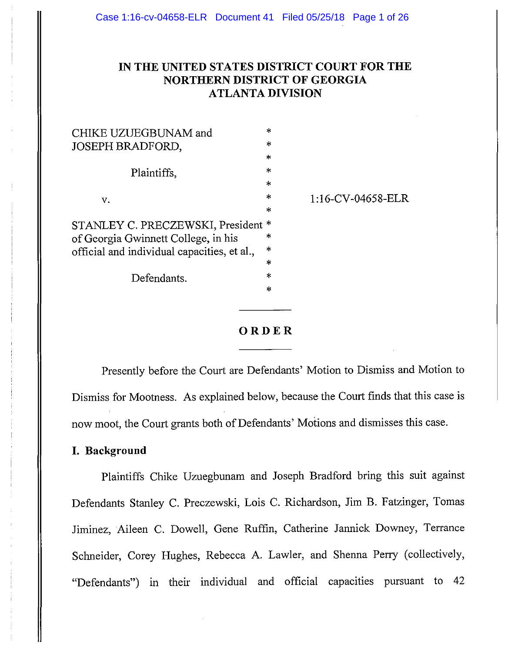# **IN THE UNITED STATES DISTRICT COURT FOR THE NORTHERN DISTRICT OF GEORGIA ATLANTA DIVISION**

1: 16-CV-04658-ELR

| CHIKE UZUEGBUNAM and                                                                                                                        | ж,      |
|---------------------------------------------------------------------------------------------------------------------------------------------|---------|
| <b>JOSEPH BRADFORD,</b>                                                                                                                     | *       |
| Plaintiffs,                                                                                                                                 | $\star$ |
|                                                                                                                                             | $\ast$  |
|                                                                                                                                             | $\ast$  |
| v.<br>STANLEY C. PRECZEWSKI, President<br>of Georgia Gwinnett College, in his<br>official and individual capacities, et al.,<br>Defendants. | *       |
|                                                                                                                                             | *       |
|                                                                                                                                             | *       |
|                                                                                                                                             | ж.      |
|                                                                                                                                             | *       |
|                                                                                                                                             | 水       |
|                                                                                                                                             | $\ast$  |
|                                                                                                                                             | ×       |
|                                                                                                                                             |         |



Presently before the Court are Defendants' Motion to Dismiss and Motion to Dismiss for Mootness. As explained below, because the Court finds that this case is now moot, the Court grants both of Defendants' Motions and dismisses this case.

### **I. Background**

Plaintiffs Chike Uzuegbunam and Joseph Bradford bring this suit against Defendants Stanley C. Preczewski, Lois C. Richardson, Jim B. Fatzinger, Tomas Jiminez, Aileen C. Dowell, Gene Ruffin, Catherine Jannick Downey, Terrance Schneider, Corey Hughes, Rebecca A. Lawler, and Shenna Perry (collectively, "Defendants") in their individual and official capacities pursuant to 42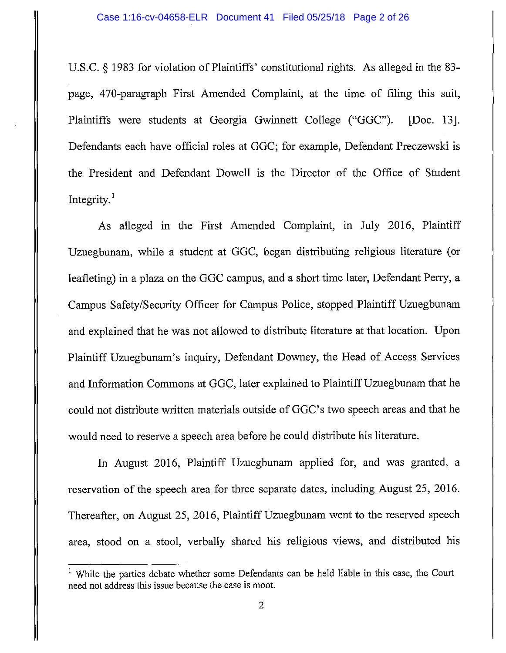U.S.C. § 1983 for violation of Plaintiffs' constitutional rights. As alleged in the 83 page, 470-paragraph First Amended Complaint, at the time of filing this suit, Plaintiffs were students at Georgia Gwinnett College ("GGC"). [Doc. 13]. Defendants each have official roles at GGC; for example, Defendant Preczewski is the President and Defendant Dowell is the Director of the Office of Student Integrity.<sup>1</sup>

As alleged in the First Amended Complaint, in July 2016, Plaintiff Uzuegbunam, while a student at GGC, began distributing religious literature (or leafleting) in a plaza on the GGC campus, and a short time later, Defendant Perry, a Campus Safety/Security Officer for Campus Police, stopped Plaintiff Uzuegbunam and explained that he was not allowed to distribute literature at that location. Upon Plaintiff Uzuegbunam's inquiry, Defendant Downey, the Head of Access Services and Information Commons at GGC, later explained to Plaintiff Uzuegbunam that he could not distribute written materials outside of GGC's two speech areas and that he would need to reserve a speech area before he could distribute his literature.

In August 2016, Plaintiff Uzuegbunam applied for, and was granted, a reservation of the speech area for three separate dates, including August 25, 2016. Thereafter, on August 25, 2016, Plaintiff Uzuegbunam went to the reserved speech area, stood on a stool, verbally shared his religious views, and distributed his

While the parties debate whether some Defendants can be held liable in this case, the Court need not address this issue because the case is moot.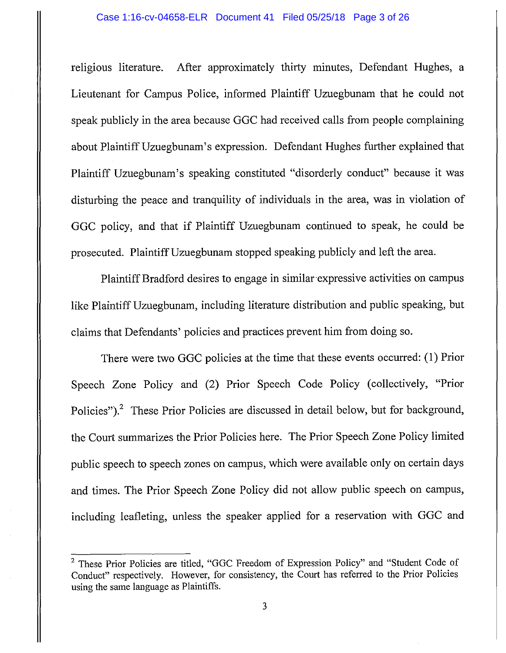religious literature. After approximately thirty minutes, Defendant Hughes, a Lieutenant for Campus Police, informed Plaintiff Uzuegbunam that he could not speak publicly in the area because GGC had received calls from people complaining about PlaintiffUzuegbunam's expression. Defendant Hughes further explained that Plaintiff Uzuegbunam's speaking constituted "disorderly conduct" because it was disturbing the peace and tranquility of individuals in the area, was in violation of GGC policy, and that if Plaintiff Uzuegbunam continued to speak, he could be prosecuted. PlaintiffUzuegbunam stopped speaking publicly and left the area.

Plaintiff Bradford desires to engage in similar expressive activities on campus like PlaintiffUzuegbunam, including literature distribution and public speaking, but claims that Defendants' policies and practices prevent him from doing so.

There were two GGC policies at the time that these events occurred: (1) Prior Speech Zone Policy and (2) Prior Speech Code Policy (collectively, "Prior Policies").<sup>2</sup> These Prior Policies are discussed in detail below, but for background, the Court summarizes the Prior Policies here. The Prior Speech Zone Policy limited public speech to speech zones on campus, which were available only on certain days and times. The Prior Speech Zone Policy did not allow public speech on campus, including leafleting, unless the speaker applied for a reservation with GGC and

<sup>2</sup> These Prior Policies are titled, "GGC Freedom of Expression Policy" and "Student Code of Conduct" respectively. However, for consistency, the Court has referred to the Prior Policies using the same language as Plaintiffs.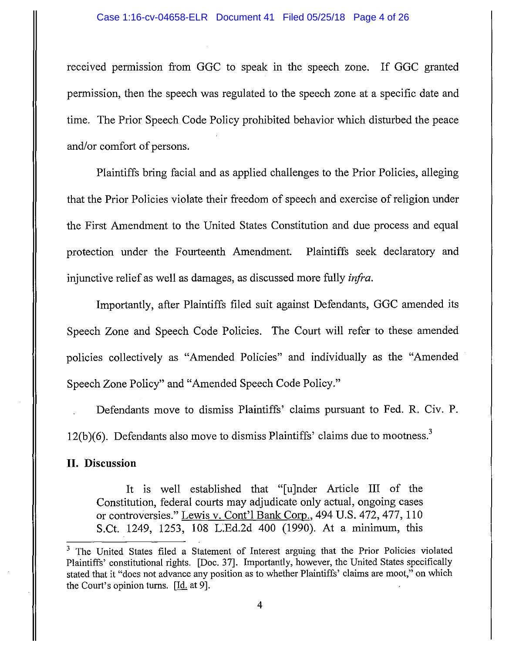received permission from GGC to speak in the speech zone. If GGC granted permission, then the speech was regulated to the speech zone at a specific date and time. The Prior Speech Code Policy prohibited behavior which disturbed the peace and/or comfort of persons.

Plaintiffs bring facial and as applied challenges to the Prior Policies, alleging that the Prior Policies violate their freedom of speech and exercise of religion under the First Amendment to the United States Constitution and due process and equal protection under the Fourteenth Amendment. Plaintiffs seek declaratory and injunctive relief as well as damages, as discussed more fully *infra.* 

Importantly, after Plaintiffs filed suit against Defendants, GGC amended its Speech Zone and Speech Code Policies. The Court will refer to these amended policies collectively as "Amended Policies" and individually as the "Amended Speech Zone Policy" and "Amended Speech Code Policy."

Defendants move to dismiss Plaintiffs' claims pursuant to Fed. R. Civ. P.  $12(b)(6)$ . Defendants also move to dismiss Plaintiffs' claims due to mootness.<sup>3</sup>

### **II. Discussion**

It is well established that "[u]nder Article III of the Constitution, federal courts may adjudicate only actual, ongoing cases or controversies." Lewis v. Cont'l Bank Corp., 494 U.S. 472, 477, 110 S.Ct. 1249, 1253, 108 L.Ed.2d 400 (1990). At a minimum, this

<sup>&</sup>lt;sup>3</sup> The United States filed a Statement of Interest arguing that the Prior Policies violated Plaintiffs' constitutional rights. [Doc. 37]. Importantly, however, the United States specifically stated that it "does not advance any position as to whether Plaintiffs' claims are moot," on which the Court's opinion turns. [Id. at 9].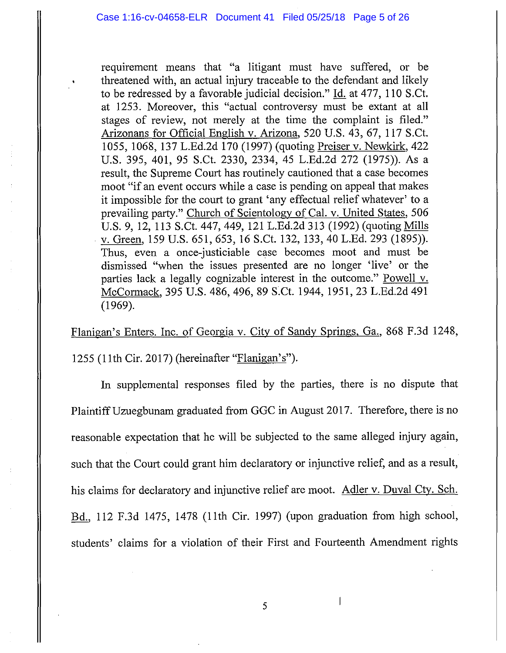requirement means that "a litigant must have suffered, or be threatened with, an actual injury traceable to the defendant and likely to be redressed by a favorable judicial decision." Id. at 477, 110 S.Ct. at 1253. Moreover, this "actual controversy must be extant at all stages of review, not merely at the time the complaint is filed." Arizonans for Official English v. Arizona, 520 U.S. 43, 67, 117 S.Ct. 1055, 1068, 137 L.Ed.2d 170 (1997) (quoting Preiser v. Newkirk, 422 U.S. 395, 401, 95 S.Ct. 2330, 2334, 45 L.Ed.2d 272 (1975)). As a result, the Supreme Court has routinely cautioned that a case becomes moot "if an event occurs while a case is pending on appeal that makes it impossible for the court to grant 'any effectual relief whatever' to a prevailing party." Church of Scientology of Cal. v. United States, 506 U.S. 9, 12, 113 S.Ct. 447, 449, 121 L.Ed.2d 313 (1992) (quoting Mills . v. Green, 159 U.S. 651, 653, 16 S.Ct. 132, 133, 40 L.Ed. 293 (1895)). Thus, even a once-justiciable case becomes moot and must be dismissed "when the issues presented are no longer 'live' or the parties lack a legally cognizable interest in the outcome." Powell v. McCormack, 395 U.S. 486, 496, 89 S.Ct. 1944, 1951, 23 L.Ed.2d 491 (1969).

Flanigan's Enters. Inc. of Georgia v. City of Sandy Springs, Ga., 868 F.3d 1248,

1255 (11th Cir. 2017) (hereinafter "Flanigan's").

In supplemental responses filed by the parties, there is no dispute that Plaintiff Uzuegbunam graduated from GGC in August 2017. Therefore, there is no reasonable expectation that he will be subjected to the same alleged injury again, such that the Court could grant him declaratory or injunctive relief, and as a result, his claims for declaratory and injunctive relief are moot. Adler v. Duval Cty. Sch. Bd., 112 F.3d 1475, 1478 (11th Cir. 1997) (upon graduation from high school, students' claims for a violation of their First and Fourteenth Amendment rights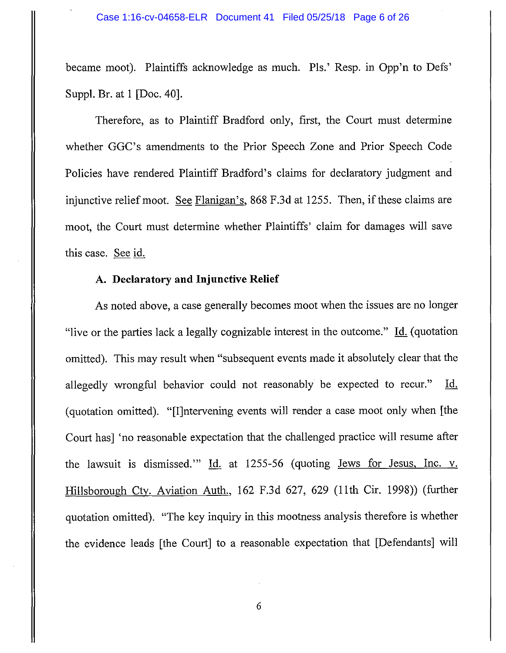became moot). Plaintiffs acknowledge as much. Pis.' Resp. in Opp'n to Defs' Suppl. Br. at 1 [Doc. 40].

Therefore, as to Plaintiff Bradford only, first, the Court must determine whether GGC's amendments to the Prior Speech Zone and Prior Speech Code Policies have rendered Plaintiff Bradford's claims for declaratory judgment and injunctive relief moot. See Flanigan's, 868 F.3d at 1255. Then, if these claims are moot, the Court must determine whether Plaintiffs' claim for damages will save this case. See id.

## A. **Declaratory and Injunctive Relief**

As noted above, a case generally becomes moot when the issues are no longer "live or the parties lack a legally cognizable interest in the outcome."  $\underline{Id}$ . (quotation omitted). This may result when "subsequent events made it absolutely clear that the allegedly wrongful behavior could not reasonably be expected to recur." Id. (quotation omitted). "[I]ntervening events will render a case moot only when [the Court has] 'no reasonable expectation that the challenged practice will resume after the lawsuit is dismissed." Id. at 1255-56 (quoting Jews for Jesus, Inc. v. Hillsborough Cty. Aviation Auth., 162 F.3d 627, 629 (11th Cir. 1998)) (further quotation omitted). "The key inquiry in this mootness analysis therefore is whether the evidence leads [the Court] to a reasonable expectation that [Defendants] will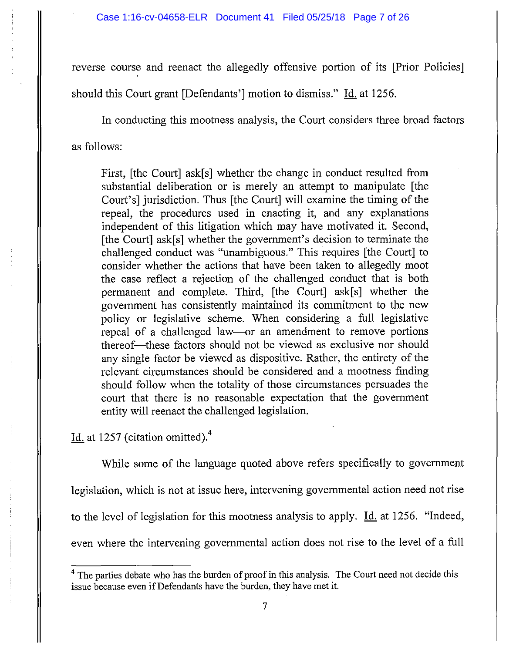reverse course and reenact the allegedly offensive portion of its [Prior Policies] should this Court grant [Defendants'] motion to dismiss." Id. at 1256.

In conducting this mootness analysis, the Court considers three broad factors as follows:

First, [the Court] ask[s] whether the change in conduct resulted from substantial deliberation or is merely an attempt to manipulate [the Court's] jurisdiction. Thus [the Court] will examine the timing of the repeal, the procedures used in enacting it, and any explanations independent of this litigation which may have motivated it. Second, [the Court] ask[s] whether the government's decision to terminate the challenged conduct was "unambiguous." This requires [the Court] to consider whether the actions that have been taken to allegedly moot the case reflect a rejection of the challenged conduct that is both permanent and complete. Third, [the Court] ask[s] whether the government has consistently maintained its commitment to the new policy or legislative scheme. When considering a full legislative repeal of a challenged law—or an amendment to remove portions thereof-these factors should not be viewed as exclusive nor should any single factor be viewed as dispositive. Rather, the entirety of the relevant circumstances should be considered and a mootness finding should follow when the totality of those circumstances persuades the court that there is no reasonable expectation that the government entity will reenact the challenged legislation.

Id. at 1257 (citation omitted).<sup>4</sup>

While some of the language quoted above refers specifically to government legislation, which is not at issue here, intervening governmental action need not rise to the level of legislation for this mootness analysis to apply. Id. at 1256. "Indeed, even where the intervening governmental action does not rise to the level of a full

<sup>&</sup>lt;sup>4</sup> The parties debate who has the burden of proof in this analysis. The Court need not decide this issue because even if Defendants have the burden, they have met it.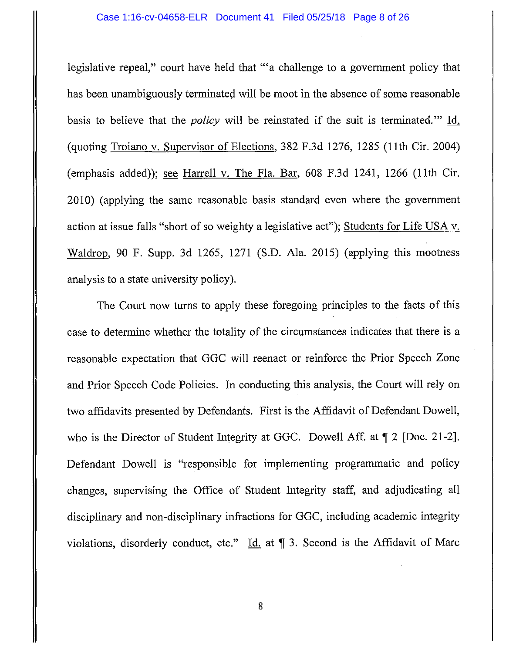legislative repeal," court have held that "'a challenge to a government policy that has been unambiguously terminated will be moot in the absence of some reasonable basis to believe that the *policy* will be reinstated if the suit is terminated."' Id. (quoting Troiano v. Supervisor of Elections, 382 F.3d 1276, 1285 (11th Cir. 2004) (emphasis added)); see Harrell v. The Fla. Bar, 608 F.3d 1241, 1266 (11th Cir. 2010) (applying the same reasonable basis standard even where the government action at issue falls "short of so weighty a legislative act"); Students for Life USA v. Waldrop, 90 F. Supp. 3d 1265, 1271 (S.D. Ala. 2015) (applying this mootness analysis to a state university policy).

The Court now turns to apply these foregoing principles to the facts of this case to determine whether the totality of the circumstances indicates that there is a reasonable expectation that GGC will reenact or reinforce the Prior Speech Zone and Prior Speech Code Policies. In conducting this analysis, the Court will rely on two affidavits presented by Defendants. First is the Affidavit of Defendant Dowell, who is the Director of Student Integrity at GGC. Dowell Aff. at  $\mathbb{T}$  2 [Doc. 21-2]. Defendant Dowell is "responsible for implementing programmatic and policy changes, supervising the Office of Student Integrity staff, and adjudicating all disciplinary and non-disciplinary infractions for GGC, including academic integrity violations, disorderly conduct, etc." Id. at  $\parallel$  3. Second is the Affidavit of Marc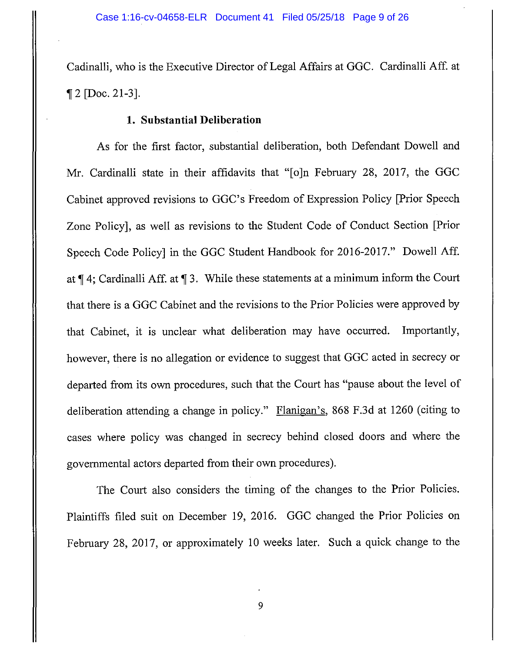Cadinalli, who is the Executive Director of Legal Affairs at GGC. Cardinalli Aff. at  $\P 2$  [Doc. 21-3].

### **1. Substantial Deliberation**

As for the first factor, substantial deliberation, both Defendant Dowell and Mr. Cardinalli state in their affidavits that "[o]n February 28, 2017, the GGC Cabinet approved revisions to GGC's Freedom of Expression Policy [Prior Speech Zone Policy], as well as revisions to the Student Code of Conduct Section [Prior Speech Code Policy] in the GGC Student Handbook for 2016-2017." Dowell Aff. at  $\P$  4; Cardinalli Aff. at  $\P$  3. While these statements at a minimum inform the Court that there is a GGC Cabinet and the revisions to the Prior Policies were approved by that Cabinet, it is unclear what deliberation may have occurred. Importantly, however, there is no allegation or evidence to suggest that GGC acted in secrecy or departed from its own procedures, such that the Court has "pause about the level of deliberation attending a change in policy." Flanigan's, 868 F.3d at 1260 (citing to cases where policy was changed in secrecy behind closed doors and where the governmental actors departed from their own procedures).

The Court also considers the timing of the changes to the Prior Policies. Plaintiffs filed suit on December 19, 2016. GGC changed the Prior Policies on February 28, 2017, or approximately 10 weeks later. Such a quick change to the

9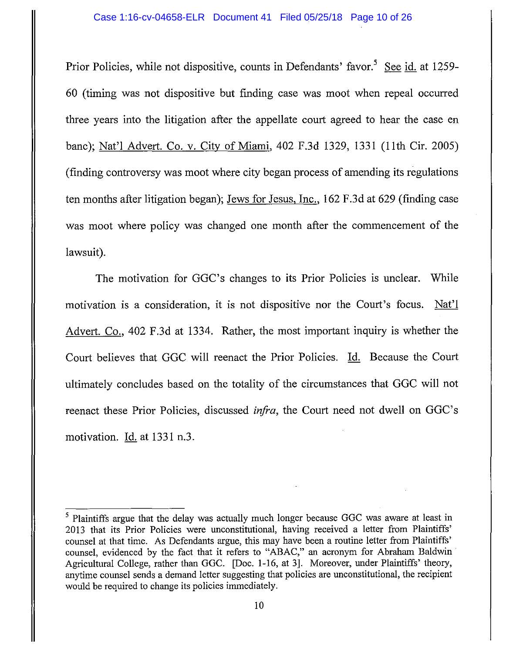Prior Policies, while not dispositive, counts in Defendants' favor.<sup>5</sup> See id. at 1259-60 (timing was not dispositive but finding case was moot when repeal occurred three years into the litigation after the appellate court agreed to hear the case en bane); Nat'l Advert. Co. v. City of Miami, 402 F.3d 1329, 1331 (11th Cir. 2005) (finding controversy was moot where city began process of amending its regulations ten months after litigation began); Jews for Jesus, Inc., 162 F.3d at 629 (finding case was moot where policy was changed one month after the commencement of the lawsuit).

The motivation for GGC's changes to its Prior Policies is unclear. While motivation is a consideration, it is not dispositive nor the Court's focus.  $Nat'1$ Advert. Co., 402 F.3d at 1334. Rather, the most important inquiry is whether the Court believes that GGC will reenact the Prior Policies. Id. Because the Court ultimately concludes based on the totality of the circumstances that GGC will not reenact these Prior Policies, discussed *infra,* the Court need not dwell on GGC's motivation. Id. at 1331 n.3.

<sup>5</sup> Plaintiffs argue that the delay was actually much longer because GGC was aware at least in 2013 that its Prior Policies were unconstitutional, having received a letter from Plaintiffs' counsel at that time. As Defendants argue, this may have been a routine letter from Plaintiffs' counsel, evidenced by the fact that it refers to "ABAC," an acronym for Abraham Baldwin Agricultural College, rather than GGC. [Doc. 1-16, at 3]. Moreover, under Plaintiffs' theory, anytime counsel sends a demand letter suggesting that policies are unconstitutional, the recipient would be required to change its policies immediately.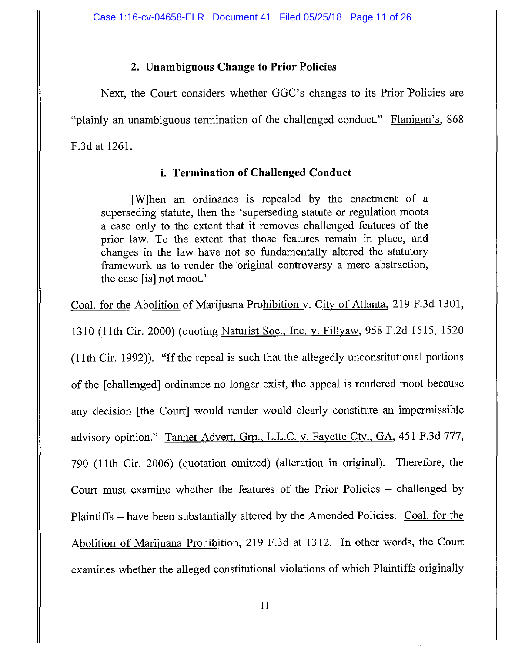### **2. Unambiguous Change to Prior Policies**

Next, the Court considers whether GGC's changes to its Prior Policies are "plainly an unambiguous termination of the challenged conduct." Flanigan's, 868 F.3d at 1261.

### **i. Termination of Challenged Conduct**

[W]hen an ordinance is repealed by the enactment of a superseding statute, then the 'superseding statute or regulation moots a case only to the extent that it removes challenged features of the prior law. To the extent that those features remain in place, and changes in the law have not so fundamentally altered the statutory framework as to render the original controversy a mere abstraction, the case [is] not moot.'

Coal. for the Abolition of Marijuana Prohibition v. City of Atlanta, 219 F.3d 1301,

1310 (11th Cir. 2000) (quoting Naturist Soc., Inc. v. Fillyaw, 958 F.2d 1515, 1520 (11th Cir. 1992)). "If the repeal is such that the allegedly unconstitutional portions of the [challenged] ordinance no longer exist, the appeal is rendered moot because any decision [the Court] would render would clearly constitute an impermissible advisory opinion." Tanner Advert. Grp., L.L.C. v. Fayette Cty., GA, 451 F.3d 777, 790 (11th Cir. 2006) (quotation omitted) (alteration in original). Therefore, the Court must examine whether the features of the Prior Policies - challenged by Plaintiffs – have been substantially altered by the Amended Policies. Coal. for the Abolition of Marijuana Prohibition, 219 F.3d at 1312. In other words, the Court examines whether the alleged constitutional violations of which Plaintiffs originally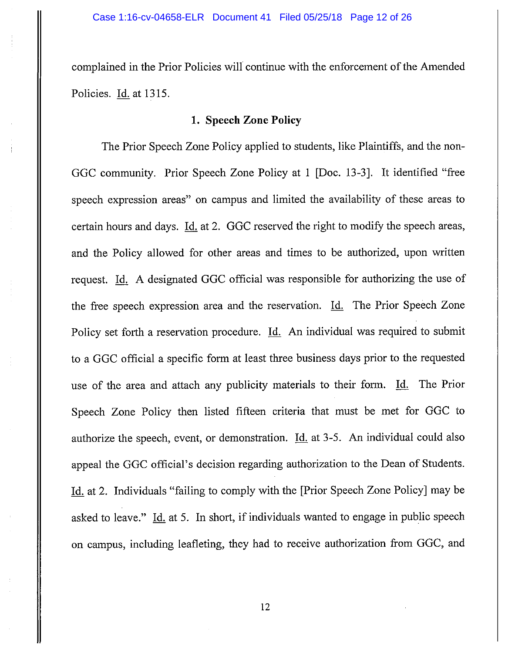complained in the Prior Policies will continue with the enforcement of the Amended Policies. Id. at 1315.

### **1. Speech Zone Policy**

The Prior Speech Zone Policy applied to students, like Plaintiffs, and the non-GGC community. Prior Speech Zone Policy at I [Doc. 13-3]. It identified "free speech expression areas" on campus and limited the availability of these areas to certain hours and days. Id. at 2. GGC reserved the right to modify the speech areas, and the Policy allowed for other areas and times to be authorized, upon written request. Id. A designated GGC official was responsible for authorizing the use of the free speech expression area and the reservation. Id. The Prior Speech Zone Policy set forth a reservation procedure. Id. An individual was required to submit to a GGC official a specific form at least three business days prior to the requested use of the area and attach any publicity materials to their form. Id. The Prior Speech Zone Policy then listed fifteen criteria that must be met for GGC to authorize the speech, event, or demonstration. Id. at 3-5. An individual could also appeal the GGC official's decision regarding authorization to the Dean of Students. Id. at 2. Individuals "failing to comply with the [Prior Speech Zone Policy] may be asked to leave." Id. at 5. In short, if individuals wanted to engage in public speech on campus, including leafleting, they had to receive authorization from GGC, and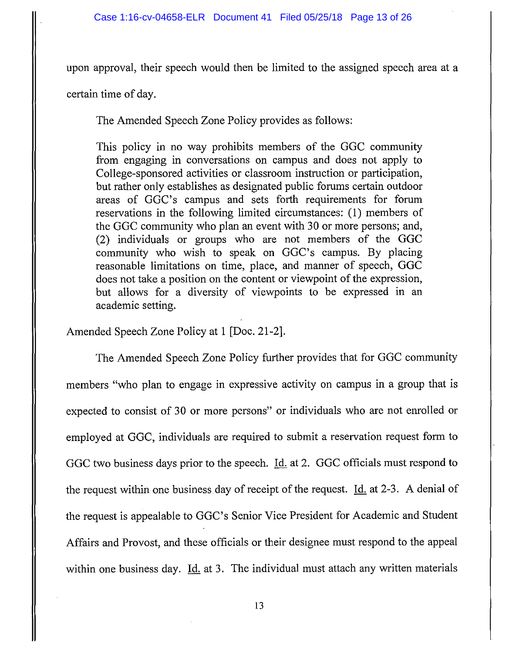upon approval, their speech would then be limited to the assigned speech area at a

certain time of day.

The Amended Speech Zone Policy provides as follows:

This policy in no way prohibits members of the GGC community from engaging in conversations on campus and does not apply to College-sponsored activities or classroom instruction or participation, but rather only establishes as designated public forums certain outdoor areas of GGC's campus and sets forth requirements for forum reservations in the following limited circumstances: (1) members of the GGC community who plan an event with 30 or more persons; and, (2) individuals or groups who are not members of the GGC community who wish to speak on GGC's campus. By placing reasonable limitations on time, place, and manner of speech, GGC does not take a position on the content or viewpoint of the expression, but allows for a diversity of viewpoints to be expressed in an academic setting.

Amended Speech Zone Policy at 1 [Doc. 21-2].

The Amended Speech Zone Policy further provides that for GGC community members "who plan to engage in expressive activity on campus in a group that is expected to consist of 30 or more persons" or individuals who are not enrolled or employed at GGC, individuals are required to submit a reservation request form to GGC two business days prior to the speech. Id. at 2. GGC officials must respond to the request within one business day of receipt of the request. Id. at 2-3. A denial of the request is appealable to GGC's Senior Vice President for Academic and Student Affairs and Provost, and these officials or their designee must respond to the appeal within one business day. Id. at 3. The individual must attach any written materials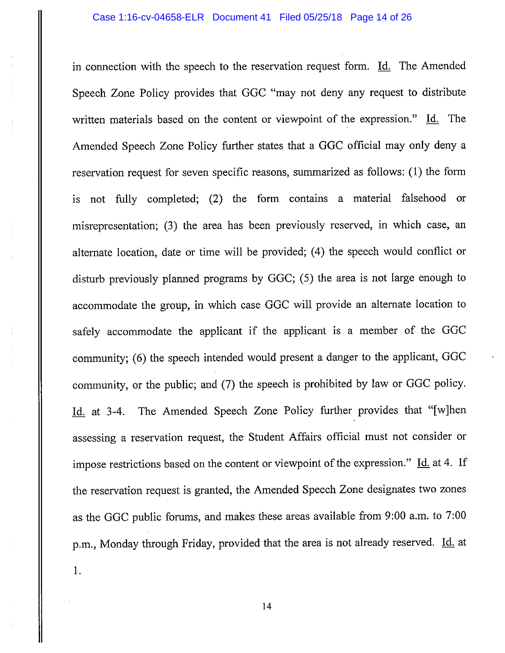in connection with the speech to the reservation request form. Id. The Amended Speech Zone Policy provides that GGC "may not deny any request to distribute written materials based on the content or viewpoint of the expression." Id. The Amended Speech Zone Policy further states that a GGC official may only deny a reservation request for seven specific reasons, summarized as follows: (1) the form is not fully completed; (2) the form contains a material falsehood or misrepresentation; (3) the area has been previously reserved, in which case, an alternate location, date or time will be provided; (4) the speech would conflict or disturb previously planned programs by GGC; (5) the area is not large enough to accommodate the group, in which case GGC will provide an alternate location to safely accommodate the applicant if the applicant is a member of the GGC community; (6) the speech intended would present a danger to the applicant, GGC community, or the public; and (7) the speech is prohibited by law or GGC policy. Id. at 3-4. The Amended Speech Zone Policy further provides that "[w]hen assessing a reservation request, the Student Affairs official must not consider or impose restrictions based on the content or viewpoint of the expression." Id. at 4. If the reservation request is granted, the Amended Speech Zone designates two zones as the GGC public forums, and makes these areas available from 9:00 a.m. to 7:00 p.m., Monday through Friday, provided that the area is not already reserved. Id. at 1.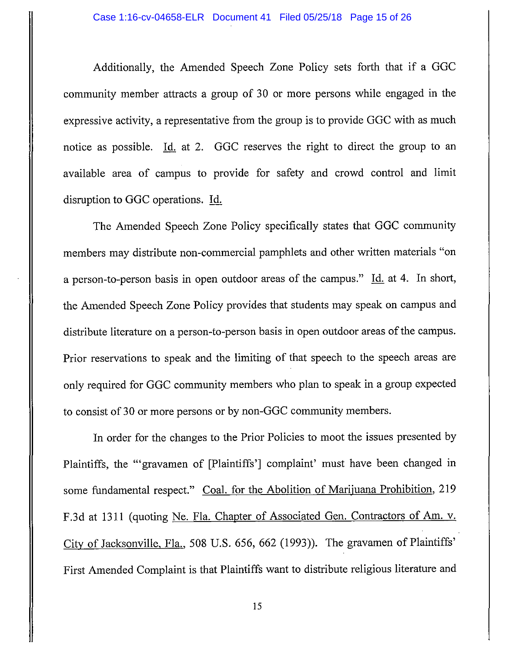Additionally, the Amended Speech Zone Policy sets forth that if a GGC community member attracts a group of 30 or more persons while engaged in the expressive activity, a representative from the group is to provide GGC with as much notice as possible. Id. at 2. GGC reserves the right to direct the group to an available area of campus to provide for safety and crowd control and limit disruption to GGC operations. Id.

The Amended Speech Zone Policy specifically states that GGC community members may distribute non-commercial pamphlets and other written materials "on a person-to-person basis in open outdoor areas of the campus." Id. at 4. In short, the Amended Speech Zone Policy provides that students may speak on campus and distribute literature on a person-to-person basis in open outdoor areas of the campus. Prior reservations to speak and the limiting of that speech to the speech areas are only required for GGC community members who plan to speak in a group expected to consist of 30 or more persons or by non-GGC community members.

In order for the changes to the Prior Policies to moot the issues presented by Plaintiffs, the "'gravamen of [Plaintiffs'] complaint' must have been changed in some fundamental respect." Coal. for the Abolition of Marijuana Prohibition, 219 F.3d at 1311 (quoting Ne. Fla. Chapter of Associated Gen. Contractors of Am. v. City of Jacksonville, Fla., 508 U.S. 656, 662 (1993)). The gravamen of Plaintiffs' First Amended Complaint is that Plaintiffs want to distribute religious literature and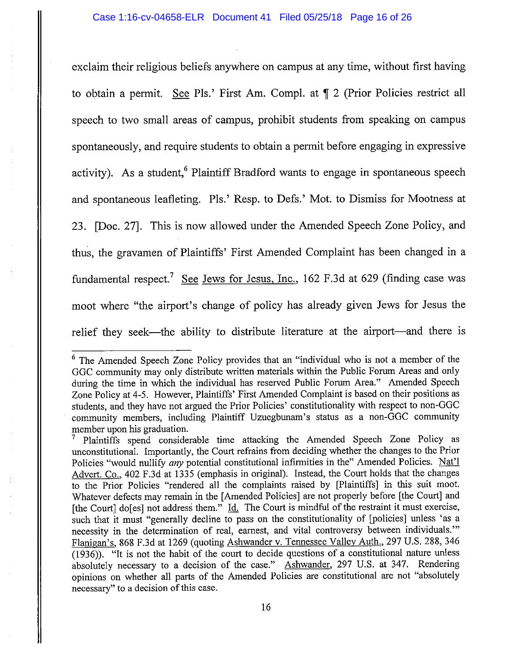exclaim their religious beliefs anywhere on campus at any time, without first having to obtain a permit. See Pls.' First Am. Compl. at  $\P$  2 (Prior Policies restrict all speech to two small areas of campus, prohibit students from speaking on campus spontaneously, and require students to obtain a permit before engaging in expressive activity). As a student,<sup>6</sup> Plaintiff Bradford wants to engage in spontaneous speech and spontaneous leafleting. Pis.' Resp. to Defs.' Mot. to Dismiss for Mootness at 23. [Doc. 27]. This is now allowed under the Amended Speech Zone Policy, and thus, the gravamen of Plaintiffs' First Amended Complaint has been changed in a fundamental respect.<sup>7</sup> See Jews for Jesus, Inc., 162 F.3d at 629 (finding case was moot where "the airport's change of policy has already given Jews for Jesus the relief they seek-the ability to distribute literature at the airport-and there is

<sup>6</sup> The Amended Speech Zone Policy provides that an "individual who is not a member of the GGC community may only distribute written materials within the Public Forum Areas and only during the time in which the individual has reserved Public Forum Area." Amended Speech Zone Policy at 4-5. However, Plaintiffs' First Amended Complaint is based on their positions as students, and they have not argued the Prior Policies' constitutionality with respect to non-GGC community members, including Plaintiff Uzuegbunam's status as a non-GGC community member upon his graduation.

<sup>7</sup>Plaintiffs spend considerable time attacking the Amended Speech Zone Policy as unconstitutional. Importantly, the Court refrains from deciding whether the changes to the Prior Policies "would nullify any potential constitutional infirmities in the" Amended Policies. Nat'l Advert. Co., 402 F.3d at 1335 (emphasis in original). Instead, the Court holds that the changes to the Prior Policies "rendered all the complaints raised by [Plaintiffs] in this suit moot. Whatever defects may remain in the [Amended Policies] are not properly before [the Court] and [the Court] do[es] not address them." Id. The Court is mindful of the restraint it must exercise, such that it must "generally decline to pass on the constitutionality of [policies] unless 'as a necessity in the determination of real, earnest, and vital controversy between individuals."' Flanigan's, 868 F.3d at 1269 (quoting Ashwander v. Tennessee Valley Auth., 297 U.S. 288, 346 (1936)). "It is not the habit of the court to decide questions of a constitutional nature unless absolutely necessary to a decision of the case." Ashwander, 297 U.S. at 347. Rendering opinions on whether all parts of the Amended Policies are constitutional are not "absolutely necessary" to a decision of this case.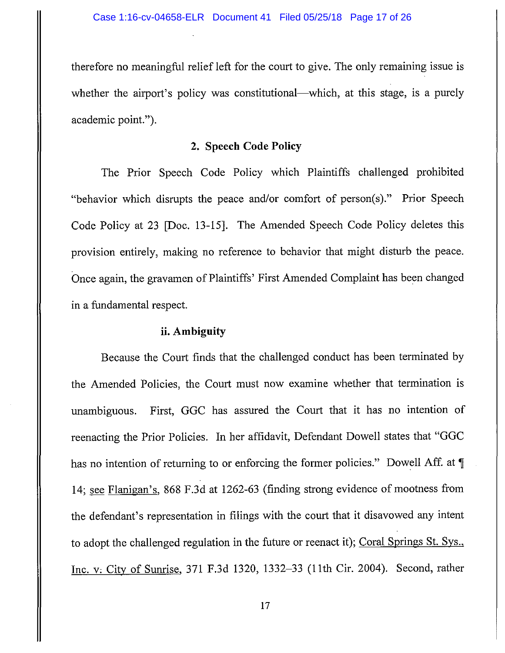therefore no meaningful relief left for the court to give. The only remaining issue is whether the airport's policy was constitutional—which, at this stage, is a purely academic point.").

### **2. Speech Code Policy**

The Prior Speech Code Policy which Plaintiffs challenged prohibited "behavior which disrupts the peace and/or comfort of person(s)." Prior Speech Code Policy at 23 [Doc. 13-15]. The Amended Speech Code Policy deletes this provision entirely, making no reference to behavior that might disturb the peace. Once again, the gravamen of Plaintiffs' First Amended Complaint has been changed in a fundamental respect.

### **ii. Ambiguity**

Because the Court finds that the challenged conduct has been terminated by the Amended Policies, the Court must now examine whether that termination is unambiguous. First, GGC has assured the Court that it has no intention of reenacting the Prior Policies. In her affidavit, Defendant Dowell states that "GGC has no intention of returning to or enforcing the former policies." Dowell Aff. at  $\P$ 14; see Flanigan's, 868 F.3d at 1262-63 (finding strong evidence of mootness from the defendant's representation in filings with the court that it disavowed any intent to adopt the challenged regulation in the future or reenact it); Coral Springs St. Sys., Inc. v, City of Sunrise, 371 F.3d 1320, 1332-33 (11th Cir. 2004). Second, rather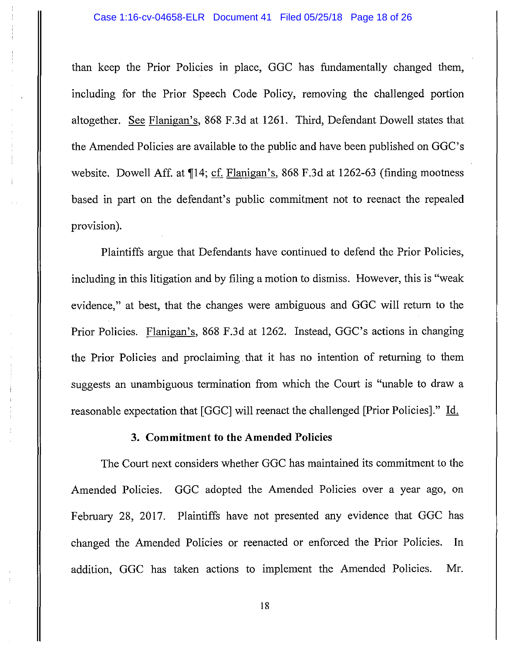than keep the Prior Policies in place, GGC has fundamentally changed them, including for the Prior Speech Code Policy, removing the challenged portion altogether. See Flanigan's, 868 F.3d at 1261. Third, Defendant Dowell states that the Amended Policies are available to the public and have been published on GGC's website. Dowell Aff. at  $\P$ 14; cf. Flanigan's, 868 F.3d at 1262-63 (finding mootness based in part on the defendant's public commitment not to reenact the repealed provision).

Plaintiffs argue that Defendants have continued to defend the Prior Policies, including in this litigation and by filing a motion to dismiss. However, this is "weak evidence," at best, that the changes were ambiguous and GGC will return to the Prior Policies. Flanigan's, 868 F.3d at 1262. Instead, GGC's actions in changing the Prior Policies and proclaiming. that it has no intention of returning to them suggests an unambiguous termination from which the Court is "unable to draw a reasonable expectation that [GGC] will reenact the challenged [Prior Policies]." Id.

### **3. Commitment to the Amended Policies**

The Court next considers whether GGC has maintained its commitment to the Amended Policies. GGC adopted the Amended Policies over a year ago, on February 28, 2017. Plaintiffs have not presented any evidence that GGC has changed the Amended Policies or reenacted or enforced the Prior Policies. In addition, GGC has taken actions to implement the Amended Policies. Mr.

18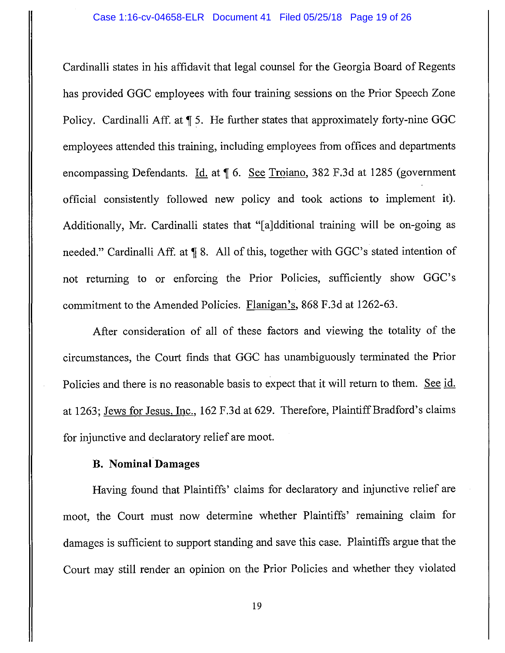Cardinalli states in his affidavit that legal counsel for the Georgia Board of Regents has provided GGC employees with four training sessions on the Prior Speech Zone Policy. Cardinalli Aff. at  $\P$  5. He further states that approximately forty-nine GGC employees attended this training, including employees from offices and departments encompassing Defendants. Id. at  $\llbracket 6$ . See Troiano, 382 F.3d at 1285 (government official consistently followed new policy and took actions to implement it). Additionally, Mr. Cardinalli states that "[a]dditional training will be on-going as needed." Cardinalli Aff. at  $\P$  8. All of this, together with GGC's stated intention of not returning to or enforcing the Prior Policies, sufficiently show GGC's commitment to the Amended Policies. Flanigan's, 868 F.3d at 1262-63.

After consideration of all of these factors and viewing the totality of the circumstances, the Court finds that GGC has unambiguously terminated the Prior Policies and there is no reasonable basis to expect that it will return to them. See id. at 1263; Jews for Jesus, Inc., 162 F.3d at 629. Therefore, Plaintiff Bradford's claims for injunctive and declaratory relief are moot.

### **B. Nominal Damages**

Having found that Plaintiffs' claims for declaratory and injunctive relief are moot, the Court must now determine whether Plaintiffs' remaining claim for damages is sufficient to support standing and save this case. Plaintiffs argue that the Court may still render an opinion on the Prior Policies and whether they violated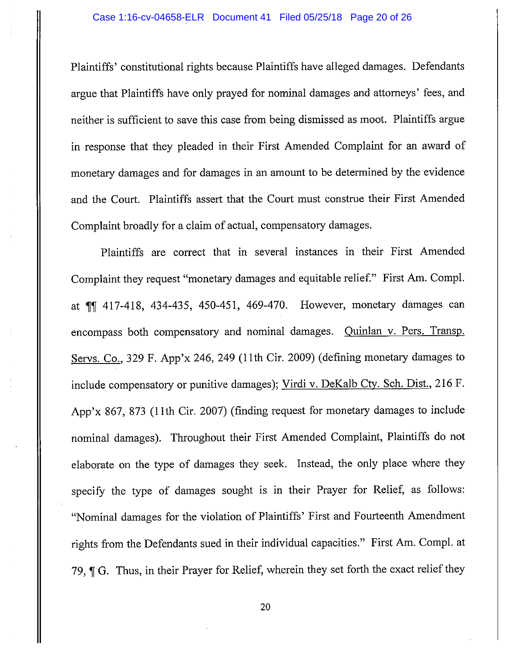Plaintiffs' constitutional rights because Plaintiffs have alleged damages. Defendants argue that Plaintiffs have only prayed for nominal damages and attorneys' fees, and neither is sufficient to save this case from being dismissed as moot. Plaintiffs argue in response that they pleaded in their First Amended Complaint for an award of monetary damages and for damages in an amount to be determined by the evidence and the Court. Plaintiffs assert that the Court must construe their First Amended Complaint broadly for a claim of actual, compensatory damages.

Plaintiffs are correct that in several instances in their First Amended Complaint they request "monetary damages and equitable relief." First Am. Comp!. at **11** 417-418, 434-435, 450-451, 469-470. However, monetary damages can encompass both compensatory and nominal damages. Quinlan v. Pers. Transp. Servs. Co., 329 F. App'x 246, 249 (11th Cir. 2009) (defining monetary damages to include compensatory or punitive damages); Virdi v. DeKalb Cty. Sch. Dist., 216 F. App'x 867, 873 (11th Cir. 2007) (finding request for monetary damages to include nominal damages). Throughout their First Amended Complaint, Plaintiffs do not elaborate on the type of damages they seek. Instead, the only place where they specify the type of damages sought is in their Prayer for Relief, as follows: "Nominal damages for the violation of Plaintiffs' First and Fourteenth Amendment rights from the Defendants sued in their individual capacities." First Am. Comp!. at 79, J G. Thus, in their Prayer for Relief, wherein they set forth the exact relief they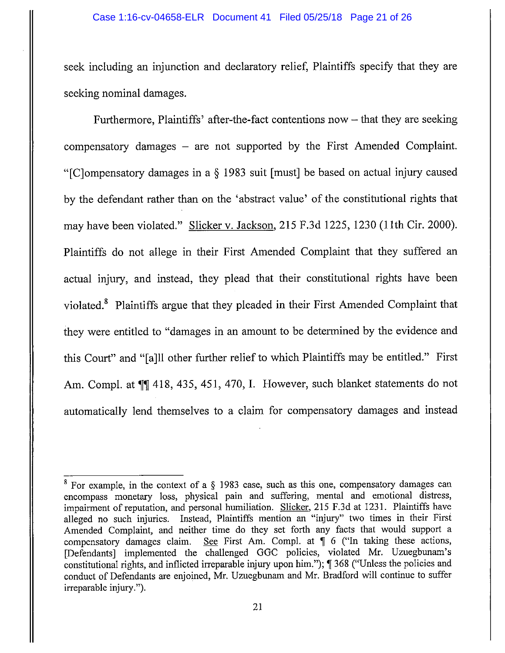seek including an injunction and declaratory relief, Plaintiffs specify that they are seeking nominal damages.

Furthermore, Plaintiffs' after-the-fact contentions now  $-$  that they are seeking compensatory damages  $-$  are not supported by the First Amended Complaint. "[C]ompensatory damages in a§ 1983 suit [must] be based on actual injury caused by the defendant rather than on the 'abstract value' of the constitutional rights that may have been violated." Slicker v. Jackson, 215 F.3d 1225, 1230 (11th Cir. 2000). Plaintiffs do not allege in their First Amended Complaint that they suffered an actual injury, and instead, they plead that their constitutional rights have been violated.8 Plaintiffs argue that they pleaded in their First Amended Complaint that they were entitled to "damages in an amount to be determined by the evidence and this Court" and "[a]ll other further relief to which Plaintiffs may be entitled." First Am. Compl. at  $\P$  418, 435, 451, 470, I. However, such blanket statements do not automatically lend themselves to a claim for compensatory damages and instead

 $8$  For example, in the context of a  $\S$  1983 case, such as this one, compensatory damages can encompass monetary loss, physical pain and suffering, mental and emotional distress, impairment of reputation, and personal humiliation. Slicker, 215 F.3d at 1231. Plaintiffs have alleged no such injuries. Instead, Plaintiffs mention an "injury" two times in their First Amended Complaint, and neither time do they set forth any facts that would support a compensatory damages claim. See First Am. Compl. at  $\parallel$  6 ("In taking these actions, [Defendants] implemented the challenged GGC policies, violated Mr. Uzuegbunam's constitutional rights, and inflicted irreparable injury upon him.");  $\parallel$  368 ("Unless the policies and conduct of Defendants are enjoined, Mr. Uzuegbunam and Mr. Bradford will continue to suffer irreparable injury.").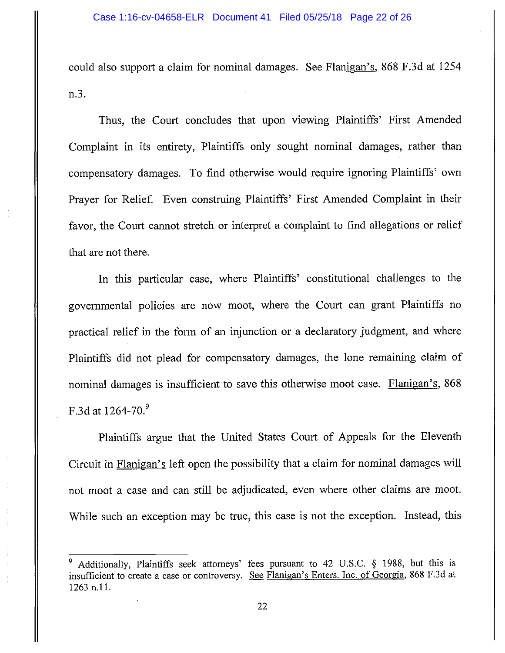could also support a claim for nominal damages. See Flanigan's, 868 F.3d at 1254 n.3.

Thus, the Court concludes that upon viewing Plaintiffs' First Amended Complaint in its entirety, Plaintiffs only sought nominal damages, rather than compensatory damages. To find otherwise would require ignoring Plaintiffs' own Prayer for Relief. Even construing Plaintiffs' First Amended Complaint in their favor, the Court cannot stretch or interpret a complaint to find allegations or relief that are not there.

In this particular case, where Plaintiffs' constitutional challenges to the governmental policies are now moot, where the Court can grant Plaintiffs no practical relief in the form of an injunction or a declaratory judgment, and where Plaintiffs did not plead for compensatory damages, the lone remaining claim of nominal damages is insufficient to save this otherwise moot case. Flanigan's, 868 F.3d at  $1264-70.9$ 

Plaintiffs argue that the United States Court of Appeals for the Eleventh Circuit in Flanigan's left open the possibility that a claim for nominal damages will not moot a case and can still be adjudicated, even where other claims are moot. While such an exception may be true, this case is not the exception. Instead, this

<sup>9</sup> Additionally, Plaintiffs seek attorneys' fees pursuant to 42 U.S.C. § 1988, but this is insufficient to create a case or controversy. See Flanigan's Enters. Inc. of Georgia, 868 F.3d at 1263 n.11.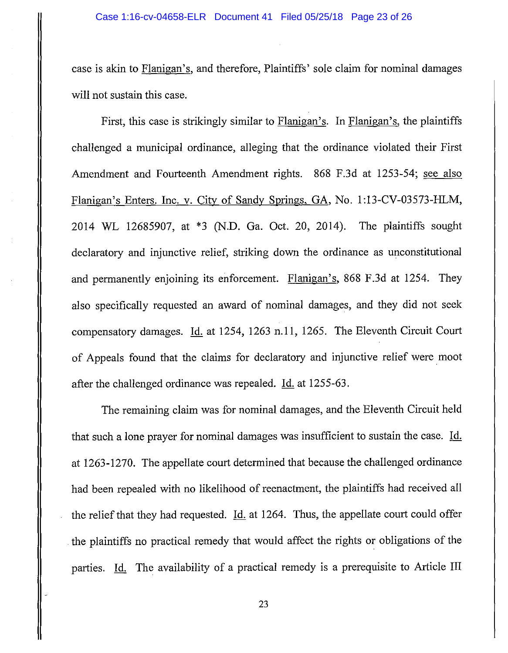case is akin to Flanigan's, and therefore, Plaintiffs' sole claim for nominal damages will not sustain this case.

First, this case is strikingly similar to Flanigan's. In Flanigan's, the plaintiffs challenged a municipal ordinance, alleging that the ordinance violated their First Amendment and Fourteenth Amendment rights. 868 F.3d at 1253-54; see also Flanigan's Enters. Inc. v. City of Sandy Springs, GA, No. 1 :13-CV-03573-HLM, 2014 WL 12685907, at \*3 (N.D. Ga. Oct. 20, 2014). The plaintiffs sought declaratory and injunctive relief, striking down the ordinance as unconstitutional and permanently enjoining its enforcement. Flanigan's, 868 F.3d at 1254. They also specifically requested an award of nominal damages, and they did not seek compensatory damages. Id. at 1254, 1263 n.11, 1265. The Eleventh Circuit Court of Appeals found that the claims for declaratory and injunctive relief were moot after the challenged ordinance was repealed. Id. at 1255-63.

The remaining claim was for nominal damages, and the Eleventh Circuit held that such a lone prayer for nominal damages was insufficient to sustain the case. Id. at 1263-1270. The appellate court determined that because the challenged ordinance had been repealed with no likelihood of reenactment, the plaintiffs had received all the relief that they had requested. Id. at 1264. Thus, the appellate court could offer the plaintiffs no practical remedy that would affect the rights or obligations of the parties. Id. The availability of a practical remedy is a prerequisite to Article III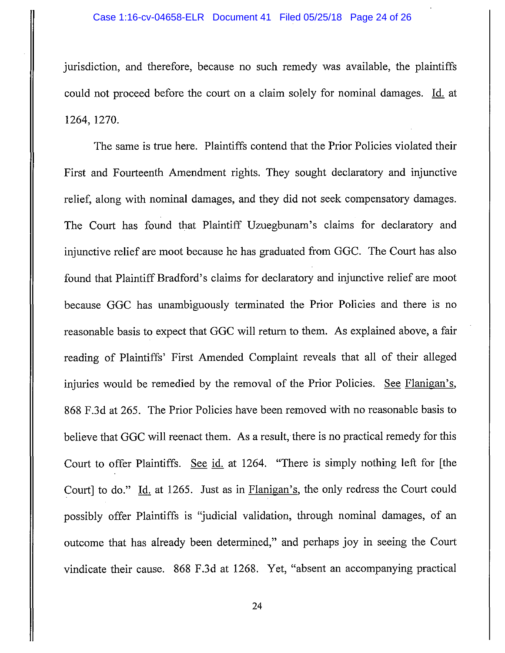jurisdiction, and therefore, because no such remedy was available, the plaintiffs could not proceed before the court on a claim solely for nominal damages. Id. at 1264, 1270.

The same is true here. Plaintiffs contend that the Prior Policies violated their First and Fourteenth Amendment rights. They sought declaratory and injunctive relief, along with nominal damages, and they did not seek compensatory damages. The Court has found that Plaintiff Uzuegbunam's claims for declaratory and injunctive relief are moot because he has graduated from GGC. The Court has also found that Plaintiff Bradford's claims for declaratory and injunctive relief are moot because GGC has unambiguously terminated the Prior Policies and there is no reasonable basis to expect that GGC will return to them. As explained above, a fair reading of Plaintiffs' First Amended Complaint reveals that all of their alleged injuries would be remedied by the removal of the Prior Policies. See Flanigan's, 868 F.3d at 265. The Prior Policies have been removed with no reasonable basis to believe that GGC will reenact them. As a result, there is no practical remedy for this Court to offer Plaintiffs. See id. at 1264. "There is simply nothing left for [the Court] to do." Id. at 1265. Just as in Flanigan's, the only redress the Court could possibly offer Plaintiffs is "judicial validation, through nominal damages, of an outcome that has already been determined," and perhaps joy in seeing the Court vindicate their cause. 868 F.3d at 1268. Yet, "absent an accompanying practical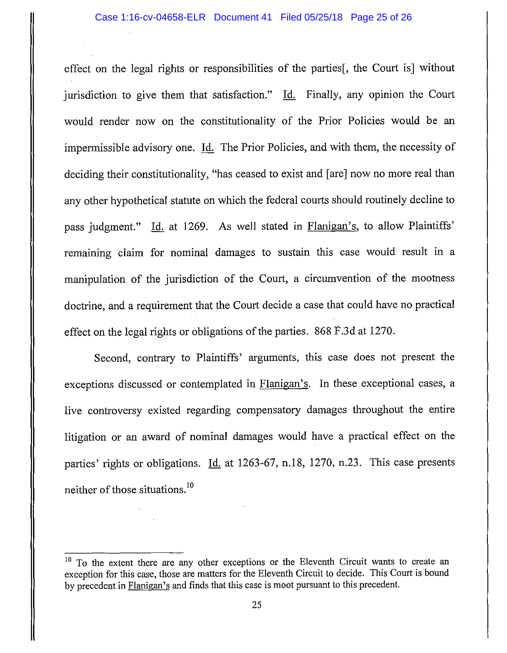effect on the legal rights or responsibilities of the parties[, the Court is] without jurisdiction to give them that satisfaction." Id. Finally, any opinion the Court would render now on the constitutionality of the Prior Policies would be an impermissible advisory one. Id. The Prior Policies, and with them, the necessity of deciding their constitutionality, "has ceased to exist and [are] now no more real than any other hypothetical statute on which the federal courts should routinely decline to pass judgment." Id. at 1269. As well stated in Flanigan's, to allow Plaintiffs' remaining claim for nominal damages to sustain this case would result in a manipulation of the jurisdiction of the Court, a circumvention of the mootness doctrine, and a requirement that the Court decide a case that could have no practical effect on the legal rights or obligations of the parties. 868 F.3d at 1270.

Second, contrary to Plaintiffs' arguments, this case does not present the exceptions discussed or contemplated in Flanigan's. In these exceptional cases, a live controversy existed regarding compensatory damages throughout the entire litigation or an award of nominal damages would have a practical effect on the parties' rights or obligations. Id. at 1263-67, n.18, 1270, n.23. This case presents neither of those situations. 10

<sup>&</sup>lt;sup>10</sup> To the extent there are any other exceptions or the Eleventh Circuit wants to create an exception for this case, those are matters for the Eleventh Circuit to decide. This Court is bound by precedent in Flanigan's and finds that this case is moot pursuant to this precedent.